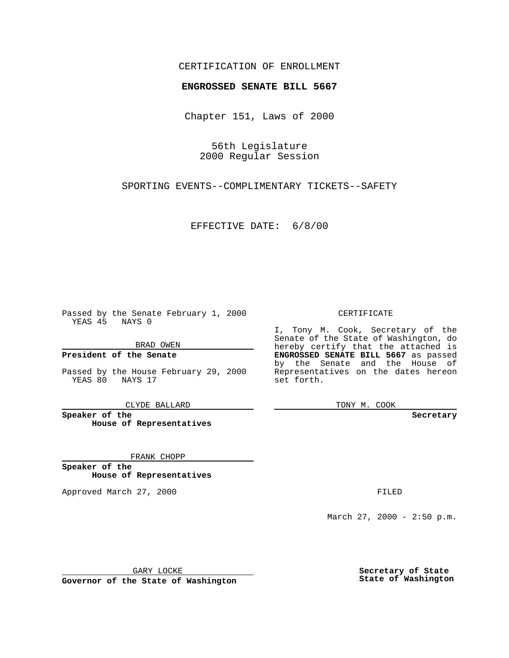### CERTIFICATION OF ENROLLMENT

# **ENGROSSED SENATE BILL 5667**

Chapter 151, Laws of 2000

56th Legislature 2000 Regular Session

SPORTING EVENTS--COMPLIMENTARY TICKETS--SAFETY

EFFECTIVE DATE: 6/8/00

Passed by the Senate February 1, 2000 YEAS 45 NAYS 0

BRAD OWEN

**President of the Senate**

Passed by the House February 29, 2000 YEAS 80 NAYS 17

CLYDE BALLARD

**Speaker of the House of Representatives**

FRANK CHOPP

**Speaker of the House of Representatives**

Approved March 27, 2000 FILED

#### CERTIFICATE

I, Tony M. Cook, Secretary of the Senate of the State of Washington, do hereby certify that the attached is **ENGROSSED SENATE BILL 5667** as passed by the Senate and the House of Representatives on the dates hereon set forth.

TONY M. COOK

**Secretary**

March 27, 2000 - 2:50 p.m.

GARY LOCKE

**Governor of the State of Washington**

**Secretary of State State of Washington**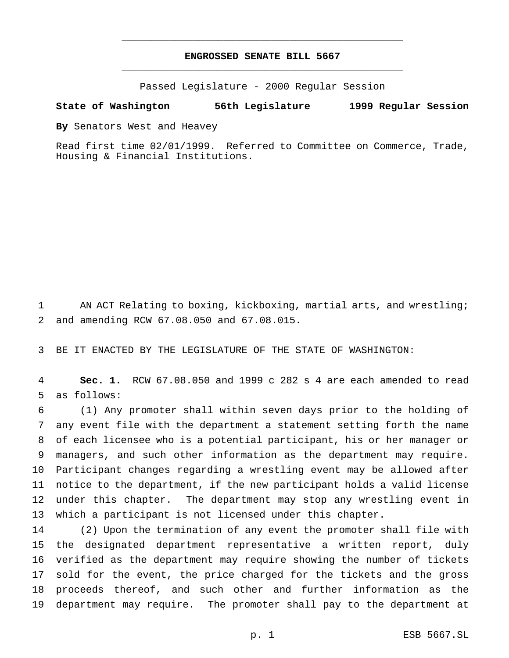# **ENGROSSED SENATE BILL 5667** \_\_\_\_\_\_\_\_\_\_\_\_\_\_\_\_\_\_\_\_\_\_\_\_\_\_\_\_\_\_\_\_\_\_\_\_\_\_\_\_\_\_\_\_\_\_\_

\_\_\_\_\_\_\_\_\_\_\_\_\_\_\_\_\_\_\_\_\_\_\_\_\_\_\_\_\_\_\_\_\_\_\_\_\_\_\_\_\_\_\_\_\_\_\_

Passed Legislature - 2000 Regular Session

### **State of Washington 56th Legislature 1999 Regular Session**

**By** Senators West and Heavey

Read first time 02/01/1999. Referred to Committee on Commerce, Trade, Housing & Financial Institutions.

 AN ACT Relating to boxing, kickboxing, martial arts, and wrestling; and amending RCW 67.08.050 and 67.08.015.

BE IT ENACTED BY THE LEGISLATURE OF THE STATE OF WASHINGTON:

 **Sec. 1.** RCW 67.08.050 and 1999 c 282 s 4 are each amended to read as follows:

 (1) Any promoter shall within seven days prior to the holding of any event file with the department a statement setting forth the name of each licensee who is a potential participant, his or her manager or managers, and such other information as the department may require. Participant changes regarding a wrestling event may be allowed after notice to the department, if the new participant holds a valid license under this chapter. The department may stop any wrestling event in which a participant is not licensed under this chapter.

 (2) Upon the termination of any event the promoter shall file with the designated department representative a written report, duly verified as the department may require showing the number of tickets sold for the event, the price charged for the tickets and the gross proceeds thereof, and such other and further information as the department may require. The promoter shall pay to the department at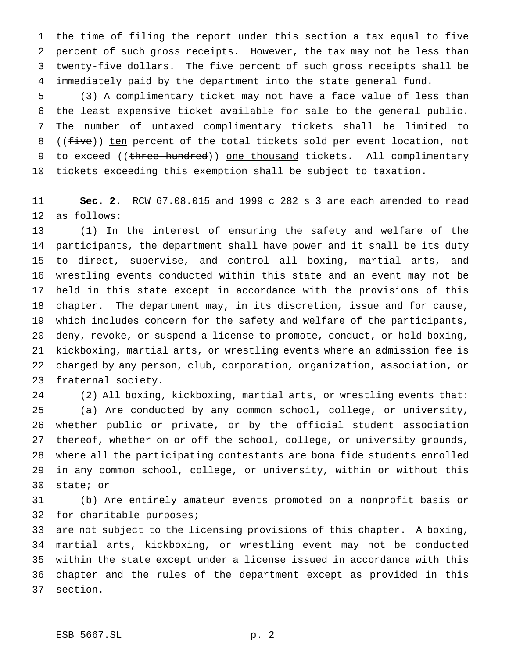the time of filing the report under this section a tax equal to five percent of such gross receipts. However, the tax may not be less than twenty-five dollars. The five percent of such gross receipts shall be immediately paid by the department into the state general fund.

 (3) A complimentary ticket may not have a face value of less than the least expensive ticket available for sale to the general public. The number of untaxed complimentary tickets shall be limited to 8 ((five)) ten percent of the total tickets sold per event location, not 9 to exceed ((three hundred)) one thousand tickets. All complimentary tickets exceeding this exemption shall be subject to taxation.

 **Sec. 2.** RCW 67.08.015 and 1999 c 282 s 3 are each amended to read as follows:

 (1) In the interest of ensuring the safety and welfare of the participants, the department shall have power and it shall be its duty to direct, supervise, and control all boxing, martial arts, and wrestling events conducted within this state and an event may not be held in this state except in accordance with the provisions of this 18 chapter. The department may, in its discretion, issue and for cause, 19 which includes concern for the safety and welfare of the participants, deny, revoke, or suspend a license to promote, conduct, or hold boxing, kickboxing, martial arts, or wrestling events where an admission fee is charged by any person, club, corporation, organization, association, or fraternal society.

 (2) All boxing, kickboxing, martial arts, or wrestling events that: (a) Are conducted by any common school, college, or university, whether public or private, or by the official student association thereof, whether on or off the school, college, or university grounds, where all the participating contestants are bona fide students enrolled in any common school, college, or university, within or without this state; or

 (b) Are entirely amateur events promoted on a nonprofit basis or for charitable purposes;

 are not subject to the licensing provisions of this chapter. A boxing, martial arts, kickboxing, or wrestling event may not be conducted within the state except under a license issued in accordance with this chapter and the rules of the department except as provided in this section.